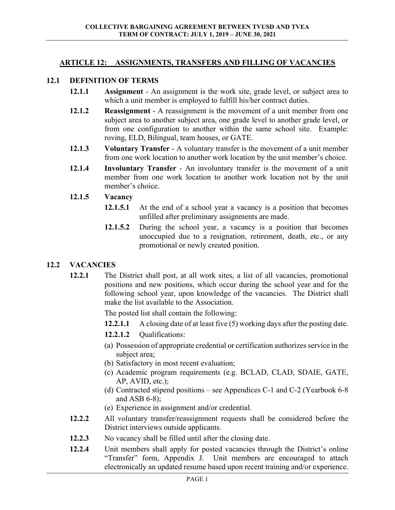## **ARTICLE 12: ASSIGNMENTS, TRANSFERS AND FILLING OF VACANCIES**

#### **12.1 DEFINITION OF TERMS**

- **12.1.1 Assignment** An assignment is the work site, grade level, or subject area to which a unit member is employed to fulfill his/her contract duties.
- **12.1.2 Reassignment** A reassignment is the movement of a unit member from one subject area to another subject area, one grade level to another grade level, or from one configuration to another within the same school site. Example: roving, ELD, Bilingual, team houses, or GATE.
- **12.1.3 Voluntary Transfer** A voluntary transfer is the movement of a unit member from one work location to another work location by the unit member's choice.
- **12.1.4 Involuntary Transfer** An involuntary transfer is the movement of a unit member from one work location to another work location not by the unit member's choice.

#### **12.1.5 Vacancy**

- **12.1.5.1** At the end of a school year a vacancy is a position that becomes unfilled after preliminary assignments are made.
- **12.1.5.2** During the school year, a vacancy is a position that becomes unoccupied due to a resignation, retirement, death, etc., or any promotional or newly created position.

## **12.2 VACANCIES**

**12.2.1** The District shall post, at all work sites, a list of all vacancies, promotional positions and new positions, which occur during the school year and for the following school year, upon knowledge of the vacancies. The District shall make the list available to the Association.

The posted list shall contain the following:

- **12.2.1.1** A closing date of at least five (5) working days after the posting date.
- **12.2.1.2** Oualifications:
- (a) Possession of appropriate credential or certification authorizes service in the subject area;
- (b) Satisfactory in most recent evaluation;
- (c) Academic program requirements (e.g. BCLAD, CLAD, SDAIE, GATE, AP, AVID, etc.);
- (d) Contracted stipend positions see Appendices C-1 and C-2 (Yearbook 6-8 and ASB 6-8);
- (e) Experience in assignment and/or credential.
- **12.2.2** All voluntary transfer/reassignment requests shall be considered before the District interviews outside applicants.
- **12.2.3** No vacancy shall be filled until after the closing date.
- **12.2.4** Unit members shall apply for posted vacancies through the District's online "Transfer" form, Appendix J. Unit members are encouraged to attach electronically an updated resume based upon recent training and/or experience.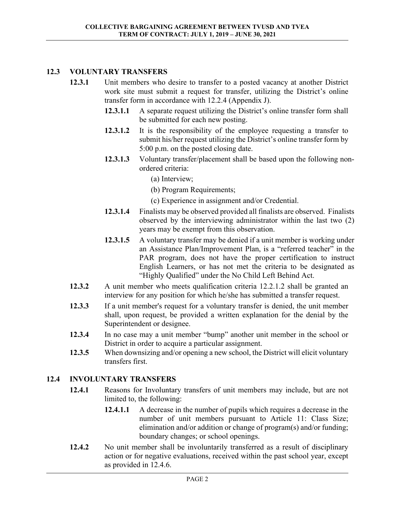# **12.3 VOLUNTARY TRANSFERS**

- **12.3.1** Unit members who desire to transfer to a posted vacancy at another District work site must submit a request for transfer, utilizing the District's online transfer form in accordance with 12.2.4 (Appendix J).
	- **12.3.1.1** A separate request utilizing the District's online transfer form shall be submitted for each new posting.
	- **12.3.1.2** It is the responsibility of the employee requesting a transfer to submit his/her request utilizing the District's online transfer form by 5:00 p.m. on the posted closing date.
	- **12.3.1.3** Voluntary transfer/placement shall be based upon the following nonordered criteria:
		- (a) Interview;
		- (b) Program Requirements;
		- (c) Experience in assignment and/or Credential.
	- **12.3.1.4** Finalists may be observed provided all finalists are observed. Finalists observed by the interviewing administrator within the last two (2) years may be exempt from this observation.
	- **12.3.1.5** A voluntary transfer may be denied if a unit member is working under an Assistance Plan/Improvement Plan, is a "referred teacher" in the PAR program, does not have the proper certification to instruct English Learners, or has not met the criteria to be designated as "Highly Qualified" under the No Child Left Behind Act.
- **12.3.2** A unit member who meets qualification criteria 12.2.1.2 shall be granted an interview for any position for which he/she has submitted a transfer request.
- **12.3.3** If a unit member's request for a voluntary transfer is denied, the unit member shall, upon request, be provided a written explanation for the denial by the Superintendent or designee.
- **12.3.4** In no case may a unit member "bump" another unit member in the school or District in order to acquire a particular assignment.
- **12.3.5** When downsizing and/or opening a new school, the District will elicit voluntary transfers first.

## **12.4 INVOLUNTARY TRANSFERS**

- **12.4.1** Reasons for Involuntary transfers of unit members may include, but are not limited to, the following:
	- **12.4.1.1** A decrease in the number of pupils which requires a decrease in the number of unit members pursuant to Article 11: Class Size; elimination and/or addition or change of program(s) and/or funding; boundary changes; or school openings.
- **12.4.2** No unit member shall be involuntarily transferred as a result of disciplinary action or for negative evaluations, received within the past school year, except as provided in 12.4.6.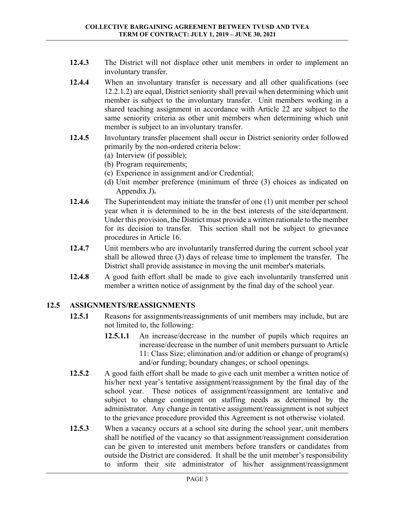- **12.4.3** The District will not displace other unit members in order to implement an involuntary transfer.
- **12.4.4** When an involuntary transfer is necessary and all other qualifications (see 12.2.1.2) are equal, District seniority shall prevail when determining which unit member is subject to the involuntary transfer. Unit members working in a shared teaching assignment in accordance with Article 22 are subject to the same seniority criteria as other unit members when determining which unit member is subject to an involuntary transfer.
- **12.4.5** Involuntary transfer placement shall occur in District seniority order followed primarily by the non-ordered criteria below:
	- (a) Interview (if possible);
	- (b) Program requirements;
	- (c) Experience in assignment and/or Credential;
	- (d) Unit member preference (minimum of three (3) choices as indicated on Appendix J)**.**
- **12.4.6** The Superintendent may initiate the transfer of one (1) unit member per school year when it is determined to be in the best interests of the site/department. Under this provision, the District must provide a written rationale to the member for its decision to transfer. This section shall not be subject to grievance procedures in Article 16.
- **12.4.7** Unit members who are involuntarily transferred during the current school year shall be allowed three (3) days of release time to implement the transfer. The District shall provide assistance in moving the unit member's materials.
- **12.4.8** A good faith effort shall be made to give each involuntarily transferred unit member a written notice of assignment by the final day of the school year.

## **12.5 ASSIGNMENTS/REASSIGNMENTS**

- **12.5.1** Reasons for assignments/reassignments of unit members may include, but are not limited to, the following:
	- **12.5.1.1** An increase/decrease in the number of pupils which requires an increase/decrease in the number of unit members pursuant to Article 11: Class Size; elimination and/or addition or change of program(s) and/or funding; boundary changes; or school openings.
- **12.5.2** A good faith effort shall be made to give each unit member a written notice of his/her next year's tentative assignment/reassignment by the final day of the school year. These notices of assignment/reassignment are tentative and subject to change contingent on staffing needs as determined by the administrator. Any change in tentative assignment/reassignment is not subject to the grievance procedure provided this Agreement is not otherwise violated.
- **12.5.3** When a vacancy occurs at a school site during the school year, unit members shall be notified of the vacancy so that assignment/reassignment consideration can be given to interested unit members before transfers or candidates from outside the District are considered. It shall be the unit member's responsibility to inform their site administrator of his/her assignment/reassignment